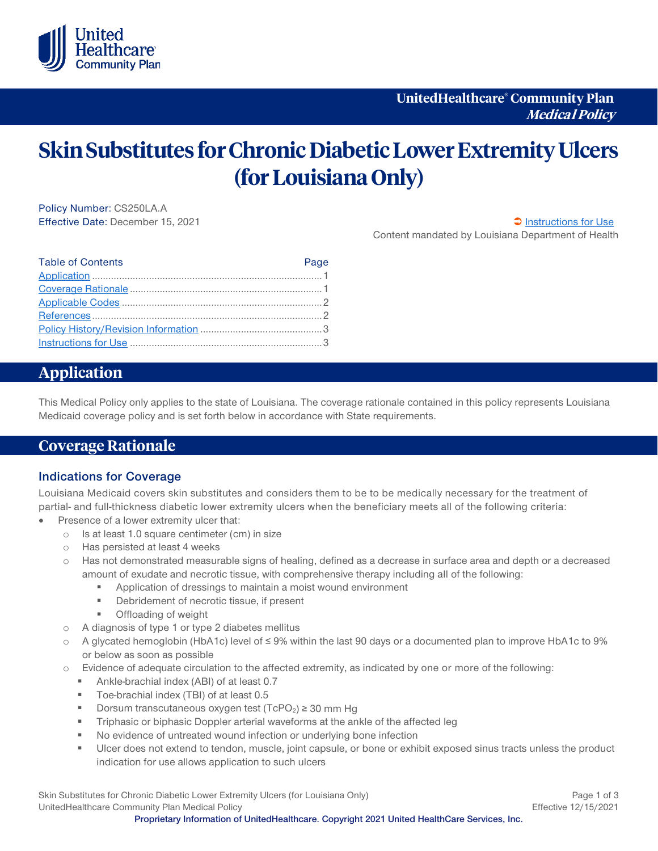

# **Skin Substitutes for Chronic Diabetic Lower Extremity Ulcers (for Louisiana Only)**

Policy Number: CS250LA.A Effective Date: December 15, 2021 [Instructions for Use](#page-2-0)  $\Box$  Instructions for Use

Content mandated by Louisiana Department of Health

| <b>Table of Contents</b> | Page |
|--------------------------|------|
|                          |      |
|                          |      |
|                          |      |
|                          |      |
|                          |      |
|                          |      |

## <span id="page-0-0"></span>**Application**

This Medical Policy only applies to the state of Louisiana. The coverage rationale contained in this policy represents Louisiana Medicaid coverage policy and is set forth below in accordance with State requirements.

### <span id="page-0-1"></span>**Coverage Rationale**

#### **Indications for Coverage**

Louisiana Medicaid covers skin substitutes and considers them to be to be medically necessary for the treatment of partial- and full-thickness diabetic lower extremity ulcers when the beneficiary meets all of the following criteria:

- Presence of a lower extremity ulcer that:
	- o Is at least 1.0 square centimeter (cm) in size
	- o Has persisted at least 4 weeks
	- o Has not demonstrated measurable signs of healing, defined as a decrease in surface area and depth or a decreased amount of exudate and necrotic tissue, with comprehensive therapy including all of the following:
		- Application of dressings to maintain a moist wound environment
		- **Debridement of necrotic tissue, if present**
		- **•** Offloading of weight
	- o A diagnosis of type 1 or type 2 diabetes mellitus
	- o A glycated hemoglobin (HbA1c) level of ≤ 9% within the last 90 days or a documented plan to improve HbA1c to 9% or below as soon as possible
	- o Evidence of adequate circulation to the affected extremity, as indicated by one or more of the following:
		- Ankle-brachial index (ABI) of at least 0.7
		- Toe-brachial index (TBI) of at least 0.5
		- Dorsum transcutaneous oxygen test (TcPO<sub>2</sub>)  $\geq$  30 mm Hg
		- Triphasic or biphasic Doppler arterial waveforms at the ankle of the affected leg
		- No evidence of untreated wound infection or underlying bone infection
		- Ulcer does not extend to tendon, muscle, joint capsule, or bone or exhibit exposed sinus tracts unless the product indication for use allows application to such ulcers

Skin Substitutes for Chronic Diabetic Lower Extremity Ulcers (for Louisiana Only) **Page 1 of 3** Page 1 of 3 UnitedHealthcare Community Plan Medical Policy **Effective 12/15/2021** Effective 12/15/2021

**Proprietary Information of UnitedHealthcare. Copyright 2021 United HealthCare Services, Inc.**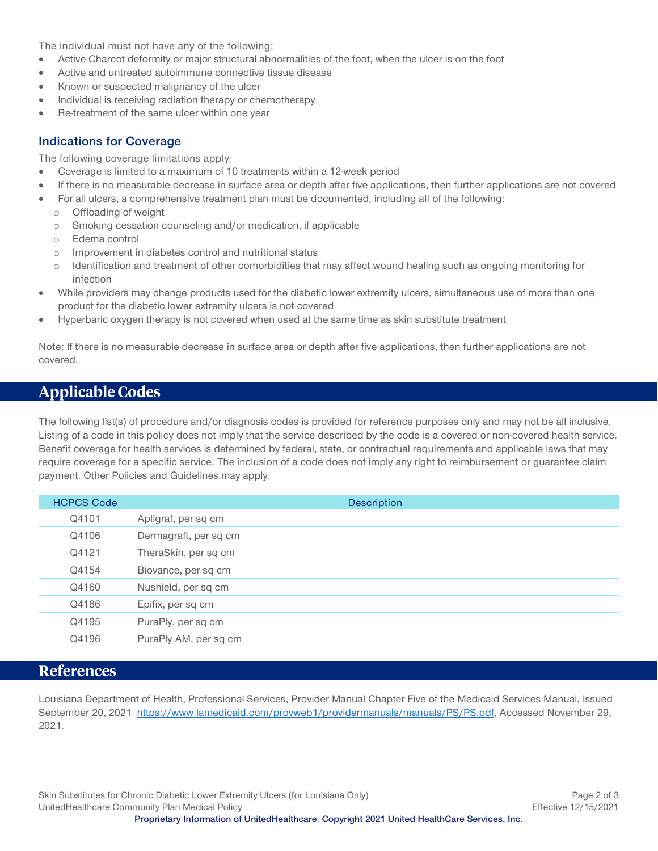The individual must not have any of the following:

- Active Charcot deformity or major structural abnormalities of the foot, when the ulcer is on the foot
- Active and untreated autoimmune connective tissue disease
- Known or suspected malignancy of the ulcer
- Individual is receiving radiation therapy or chemotherapy
- Re-treatment of the same ulcer within one year

#### **Indications for Coverage**

The following coverage limitations apply:

- Coverage is limited to a maximum of 10 treatments within a 12-week period
- If there is no measurable decrease in surface area or depth after five applications, then further applications are not covered
- For all ulcers, a comprehensive treatment plan must be documented, including all of the following:
	- o Offloading of weight
	- o Smoking cessation counseling and/or medication, if applicable
	- o Edema control
	- o Improvement in diabetes control and nutritional status
	- o Identification and treatment of other comorbidities that may affect wound healing such as ongoing monitoring for infection
- While providers may change products used for the diabetic lower extremity ulcers, simultaneous use of more than one product for the diabetic lower extremity ulcers is not covered
- Hyperbaric oxygen therapy is not covered when used at the same time as skin substitute treatment

Note: If there is no measurable decrease in surface area or depth after five applications, then further applications are not covered.

# <span id="page-1-0"></span>**Applicable Codes**

The following list(s) of procedure and/or diagnosis codes is provided for reference purposes only and may not be all inclusive. Listing of a code in this policy does not imply that the service described by the code is a covered or non-covered health service. Benefit coverage for health services is determined by federal, state, or contractual requirements and applicable laws that may require coverage for a specific service. The inclusion of a code does not imply any right to reimbursement or guarantee claim payment. Other Policies and Guidelines may apply.

| <b>HCPCS Code</b> | <b>Description</b>    |
|-------------------|-----------------------|
| Q4101             | Apligraf, per sq cm   |
| Q4106             | Dermagraft, per sq cm |
| Q4121             | TheraSkin, per sq cm  |
| Q4154             | Biovance, per sq cm   |
| Q4160             | Nushield, per sq cm   |
| Q4186             | Epifix, per sq cm     |
| Q4195             | PuraPly, per sq cm    |
| Q4196             | PuraPly AM, per sq cm |

## <span id="page-1-1"></span>**References**

Louisiana Department of Health, Professional Services, Provider Manual Chapter Five of the Medicaid Services Manual, Issued September 20, 2021. [https://www.lamedicaid.com/provweb1/providermanuals/manuals/PS/PS.pdf,](https://www.lamedicaid.com/provweb1/providermanuals/manuals/PS/PS.pdf) Accessed November 29, 2021.